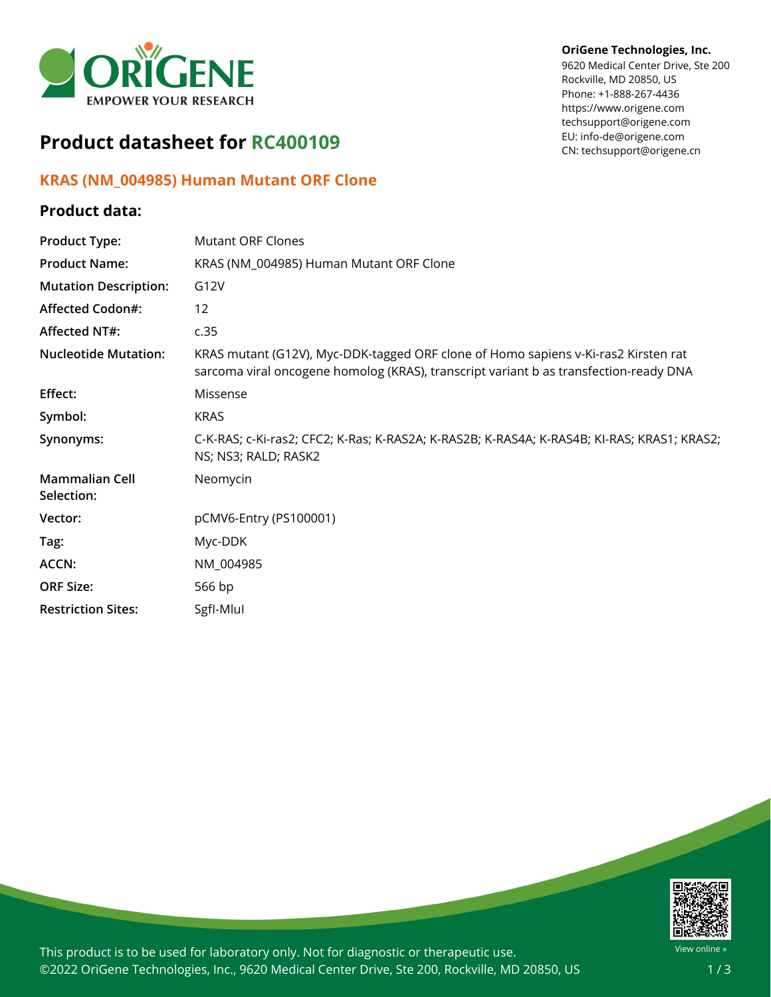

## **Product datasheet for RC400109**

## **KRAS (NM\_004985) Human Mutant ORF Clone**

## **Product data:**

## **OriGene Technologies, Inc.**

9620 Medical Center Drive, Ste 200 Rockville, MD 20850, US Phone: +1-888-267-4436 https://www.origene.com techsupport@origene.com EU: info-de@origene.com CN: techsupport@origene.cn

| <b>Product Type:</b>                | <b>Mutant ORF Clones</b>                                                                                                                                                    |
|-------------------------------------|-----------------------------------------------------------------------------------------------------------------------------------------------------------------------------|
| <b>Product Name:</b>                | KRAS (NM_004985) Human Mutant ORF Clone                                                                                                                                     |
| <b>Mutation Description:</b>        | G12V                                                                                                                                                                        |
| <b>Affected Codon#:</b>             | 12                                                                                                                                                                          |
| Affected NT#:                       | c.35                                                                                                                                                                        |
| <b>Nucleotide Mutation:</b>         | KRAS mutant (G12V), Myc-DDK-tagged ORF clone of Homo sapiens v-Ki-ras2 Kirsten rat<br>sarcoma viral oncogene homolog (KRAS), transcript variant b as transfection-ready DNA |
| Effect:                             | Missense                                                                                                                                                                    |
| Symbol:                             | <b>KRAS</b>                                                                                                                                                                 |
| Synonyms:                           | C-K-RAS; c-Ki-ras2; CFC2; K-Ras; K-RAS2A; K-RAS2B; K-RAS4A; K-RAS4B; KI-RAS; KRAS1; KRAS2;<br>NS; NS3; RALD; RASK2                                                          |
| <b>Mammalian Cell</b><br>Selection: | Neomycin                                                                                                                                                                    |
| Vector:                             | pCMV6-Entry (PS100001)                                                                                                                                                      |
| Tag:                                | Myc-DDK                                                                                                                                                                     |
| <b>ACCN:</b>                        | NM_004985                                                                                                                                                                   |
| <b>ORF Size:</b>                    | 566 bp                                                                                                                                                                      |
| <b>Restriction Sites:</b>           | Sgfl-Mlul                                                                                                                                                                   |



This product is to be used for laboratory only. Not for diagnostic or therapeutic use. ©2022 OriGene Technologies, Inc., 9620 Medical Center Drive, Ste 200, Rockville, MD 20850, US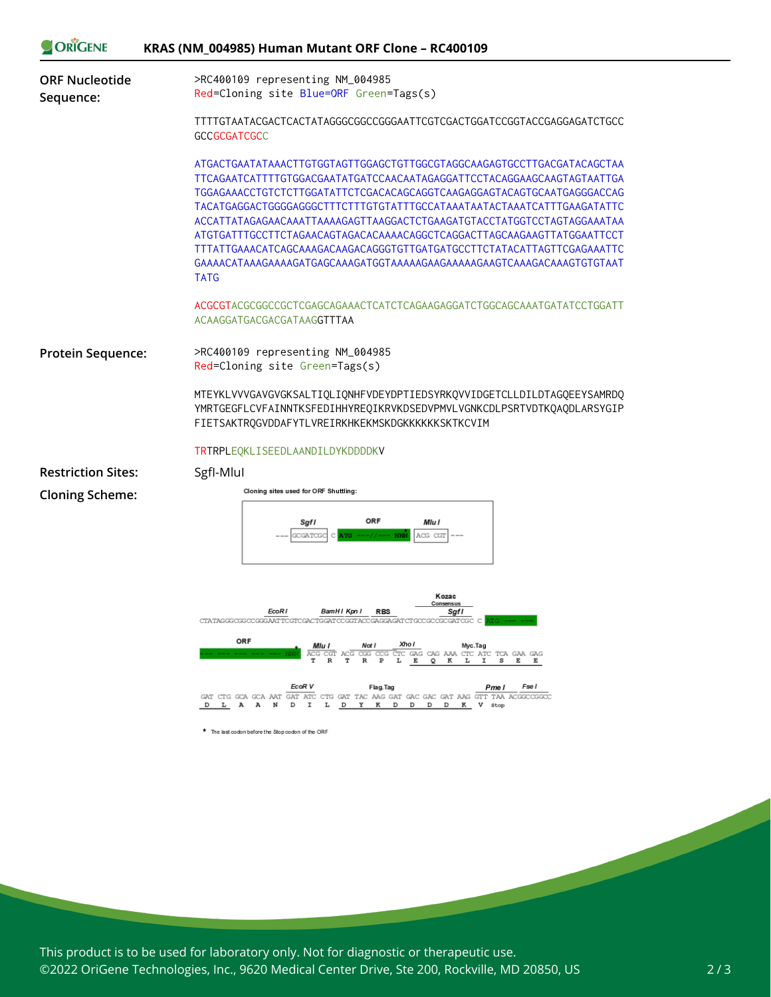| <b>ORIGENE</b>                     | KRAS (NM_004985) Human Mutant ORF Clone - RC400109                                                                                                                                                                                                                                                                                                                                                                                                                                                                                               |
|------------------------------------|--------------------------------------------------------------------------------------------------------------------------------------------------------------------------------------------------------------------------------------------------------------------------------------------------------------------------------------------------------------------------------------------------------------------------------------------------------------------------------------------------------------------------------------------------|
| <b>ORF Nucleotide</b><br>Sequence: | >RC400109 representing NM_004985<br>Red=Cloning site Blue=ORF Green=Tags(s)                                                                                                                                                                                                                                                                                                                                                                                                                                                                      |
|                                    | TTTTGTAATACGACTCACTATAGGGCGGCCGGGAATTCGTCGACTGGATCCGGTACCGAGGAGATCTGCC<br><b>GCCGCGATCGCC</b>                                                                                                                                                                                                                                                                                                                                                                                                                                                    |
|                                    | ATGACTGAATATAAACTTGTGGTAGTTGGAGCTGTTGGCGTAGGCAAGAGTGCCTTGACGATACAGCTAA<br>TTCAGAATCATTTTGTGGACGAATATGATCCAACAATAGAGGATTCCTACAGGAAGCAAGTAGTAATTGA<br>TGGAGAAACCTGTCTCTTGGATATTCTCGACACAGCAGGTCAAGAGGAGTACAGTGCAATGAGGGACCAG<br>ACCATTATAGAGAACAAATTAAAAGAGTTAAGGACTCTGAAGATGTACCTATGGTCCTAGTAGGAAATAA<br>ATGTGATTTGCCTTCTAGAACAGTAGACACAAAACAGGCTCAGGACTTAGCAAGAAGTTATGGAATTCCT<br>TTTATTGAAACATCAGCAAAGACAAGACAGGGTGTTGATGATGCCTTCTATACATTAGTTCGAGAAATTC<br>GAAAACATAAAGAAAAGATGAGCAAAGATGGTAAAAAGAAGAAAAGAAGTCAAAGACAAAGTGTGTAAT<br><b>TATG</b> |
|                                    | ACGCGTACGCGGCCGCTCGAGCAGAAACTCATCTCAGAAGAGGATCTGGCAGCAAATGATATCCTGGATT<br>ACAAGGATGACGACGATAAGGTTTAA                                                                                                                                                                                                                                                                                                                                                                                                                                             |
| Protein Sequence:                  | >RC400109 representing NM_004985<br>Red=Cloning site Green=Tags(s)                                                                                                                                                                                                                                                                                                                                                                                                                                                                               |
|                                    | MTEYKLVVVGAVGVGKSALTIOLIONHFVDEYDPTIEDSYRKOVVIDGETCLLDILDTAGOEEYSAMRDO<br>YMRTGEGFLCVFAINNTKSFEDIHHYREQIKRVKDSEDVPMVLVGNKCDLPSRTVDTKQAQDLARSYGIP<br>FIETSAKTRQGVDDAFYTLVREIRKHKEKMSKDGKKKKKKKSKTKCVIM                                                                                                                                                                                                                                                                                                                                            |
|                                    | <b>TRTRPLEQKLISEEDLAANDILDYKDDDDKV</b>                                                                                                                                                                                                                                                                                                                                                                                                                                                                                                           |
| <b>Restriction Sites:</b>          | SgfI-Mlul                                                                                                                                                                                                                                                                                                                                                                                                                                                                                                                                        |
| <b>Cloning Scheme:</b>             | Cloning sites used for ORF Shuttling:<br><b>ORF</b><br>Sgfl<br>Mlu l<br>ACG CGI<br><b>GOGATOG</b>                                                                                                                                                                                                                                                                                                                                                                                                                                                |
|                                    | Kozac<br>Consensus<br>EcoR1<br>BamHI Kpn I<br><b>RBS</b><br>Sgfl<br>CTATAGGGGGGCGGGAATTCGTCGACTGGATCCGGTACCGAGGAGAT<br>ORF<br>Xho I<br>Mlu l<br>Not i<br>Myc.Tag<br>TC GAG CAG AAA CTC ATC TCA GAA GAG<br>CGT ACG<br>$\mathbb R$<br>т<br>$\mathbb{R}$<br>E<br>к<br>E<br>Q                                                                                                                                                                                                                                                                        |

\* The last codon before the Stop codon of the ORF